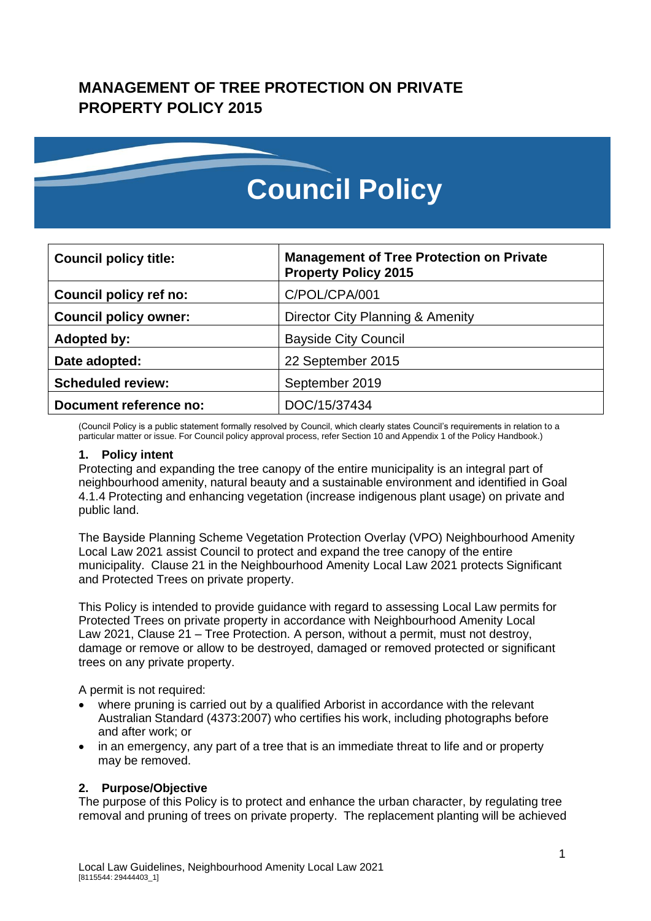# **MANAGEMENT OF TREE PROTECTION ON PRIVATE PROPERTY POLICY 2015**



| <b>Council policy title:</b>  | <b>Management of Tree Protection on Private</b><br><b>Property Policy 2015</b> |
|-------------------------------|--------------------------------------------------------------------------------|
| <b>Council policy ref no:</b> | C/POL/CPA/001                                                                  |
| <b>Council policy owner:</b>  | Director City Planning & Amenity                                               |
| <b>Adopted by:</b>            | <b>Bayside City Council</b>                                                    |
| Date adopted:                 | 22 September 2015                                                              |
| <b>Scheduled review:</b>      | September 2019                                                                 |
| Document reference no:        | DOC/15/37434                                                                   |

(Council Policy is a public statement formally resolved by Council, which clearly states Council's requirements in relation to a particular matter or issue. For Council policy approval process, refer Section 10 and Appendix 1 of the Policy Handbook.)

#### **1. Policy intent**

Protecting and expanding the tree canopy of the entire municipality is an integral part of neighbourhood amenity, natural beauty and a sustainable environment and identified in Goal 4.1.4 Protecting and enhancing vegetation (increase indigenous plant usage) on private and public land.

The Bayside Planning Scheme Vegetation Protection Overlay (VPO) Neighbourhood Amenity Local Law 2021 assist Council to protect and expand the tree canopy of the entire municipality. Clause 21 in the Neighbourhood Amenity Local Law 2021 protects Significant and Protected Trees on private property.

This Policy is intended to provide guidance with regard to assessing Local Law permits for Protected Trees on private property in accordance with Neighbourhood Amenity Local Law 2021, Clause 21 – Tree Protection. A person, without a permit, must not destroy, damage or remove or allow to be destroyed, damaged or removed protected or significant trees on any private property.

A permit is not required:

- where pruning is carried out by a qualified Arborist in accordance with the relevant Australian Standard (4373:2007) who certifies his work, including photographs before and after work; or
- in an emergency, any part of a tree that is an immediate threat to life and or property may be removed.

#### **2. Purpose/Objective**

The purpose of this Policy is to protect and enhance the urban character, by regulating tree removal and pruning of trees on private property. The replacement planting will be achieved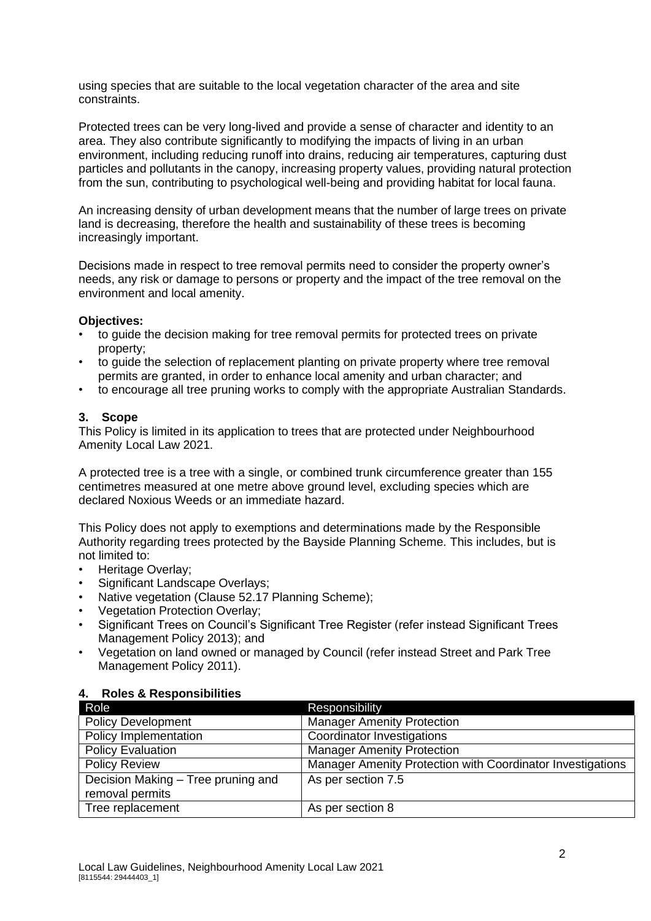using species that are suitable to the local vegetation character of the area and site constraints.

Protected trees can be very long-lived and provide a sense of character and identity to an area. They also contribute significantly to modifying the impacts of living in an urban environment, including reducing runoff into drains, reducing air temperatures, capturing dust particles and pollutants in the canopy, increasing property values, providing natural protection from the sun, contributing to psychological well-being and providing habitat for local fauna.

An increasing density of urban development means that the number of large trees on private land is decreasing, therefore the health and sustainability of these trees is becoming increasingly important.

Decisions made in respect to tree removal permits need to consider the property owner's needs, any risk or damage to persons or property and the impact of the tree removal on the environment and local amenity.

#### **Objectives:**

- to guide the decision making for tree removal permits for protected trees on private property;
- to guide the selection of replacement planting on private property where tree removal permits are granted, in order to enhance local amenity and urban character; and
- to encourage all tree pruning works to comply with the appropriate Australian Standards.

#### **3. Scope**

This Policy is limited in its application to trees that are protected under Neighbourhood Amenity Local Law 2021.

A protected tree is a tree with a single, or combined trunk circumference greater than 155 centimetres measured at one metre above ground level, excluding species which are declared Noxious Weeds or an immediate hazard.

This Policy does not apply to exemptions and determinations made by the Responsible Authority regarding trees protected by the Bayside Planning Scheme. This includes, but is not limited to:

- Heritage Overlay;
- Significant Landscape Overlays;
- Native vegetation (Clause 52.17 Planning Scheme);
- Vegetation Protection Overlay;
- Significant Trees on Council's Significant Tree Register (refer instead Significant Trees Management Policy 2013); and
- Vegetation on land owned or managed by Council (refer instead Street and Park Tree Management Policy 2011).

#### **4. Roles & Responsibilities**

| Role                               | Responsibility                                             |
|------------------------------------|------------------------------------------------------------|
| <b>Policy Development</b>          | <b>Manager Amenity Protection</b>                          |
| Policy Implementation              | <b>Coordinator Investigations</b>                          |
| <b>Policy Evaluation</b>           | <b>Manager Amenity Protection</b>                          |
| <b>Policy Review</b>               | Manager Amenity Protection with Coordinator Investigations |
| Decision Making - Tree pruning and | As per section 7.5                                         |
| removal permits                    |                                                            |
| Tree replacement                   | As per section 8                                           |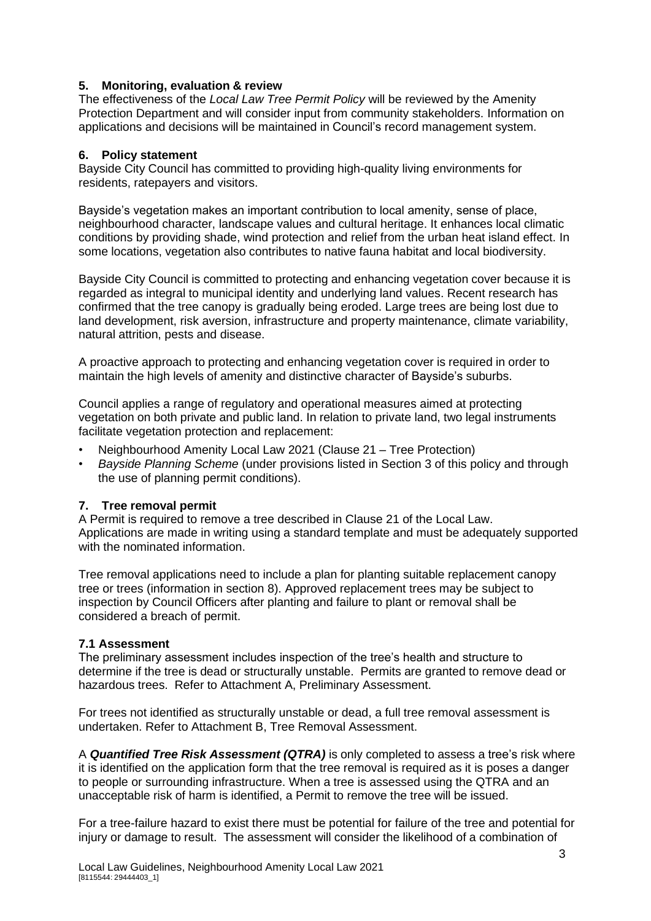#### **5. Monitoring, evaluation & review**

The effectiveness of the *Local Law Tree Permit Policy* will be reviewed by the Amenity Protection Department and will consider input from community stakeholders. Information on applications and decisions will be maintained in Council's record management system.

#### **6. Policy statement**

Bayside City Council has committed to providing high-quality living environments for residents, ratepayers and visitors.

Bayside's vegetation makes an important contribution to local amenity, sense of place, neighbourhood character, landscape values and cultural heritage. It enhances local climatic conditions by providing shade, wind protection and relief from the urban heat island effect. In some locations, vegetation also contributes to native fauna habitat and local biodiversity.

Bayside City Council is committed to protecting and enhancing vegetation cover because it is regarded as integral to municipal identity and underlying land values. Recent research has confirmed that the tree canopy is gradually being eroded. Large trees are being lost due to land development, risk aversion, infrastructure and property maintenance, climate variability, natural attrition, pests and disease.

A proactive approach to protecting and enhancing vegetation cover is required in order to maintain the high levels of amenity and distinctive character of Bayside's suburbs.

Council applies a range of regulatory and operational measures aimed at protecting vegetation on both private and public land. In relation to private land, two legal instruments facilitate vegetation protection and replacement:

- Neighbourhood Amenity Local Law 2021 (Clause 21 Tree Protection)
- *Bayside Planning Scheme* (under provisions listed in Section 3 of this policy and through the use of planning permit conditions).

#### **7. Tree removal permit**

A Permit is required to remove a tree described in Clause 21 of the Local Law. Applications are made in writing using a standard template and must be adequately supported with the nominated information.

Tree removal applications need to include a plan for planting suitable replacement canopy tree or trees (information in section 8). Approved replacement trees may be subject to inspection by Council Officers after planting and failure to plant or removal shall be considered a breach of permit.

#### **7.1 Assessment**

The preliminary assessment includes inspection of the tree's health and structure to determine if the tree is dead or structurally unstable. Permits are granted to remove dead or hazardous trees. Refer to Attachment A, Preliminary Assessment.

For trees not identified as structurally unstable or dead, a full tree removal assessment is undertaken. Refer to Attachment B, Tree Removal Assessment.

A *Quantified Tree Risk Assessment (QTRA)* is only completed to assess a tree's risk where it is identified on the application form that the tree removal is required as it is poses a danger to people or surrounding infrastructure. When a tree is assessed using the QTRA and an unacceptable risk of harm is identified, a Permit to remove the tree will be issued.

For a tree-failure hazard to exist there must be potential for failure of the tree and potential for injury or damage to result. The assessment will consider the likelihood of a combination of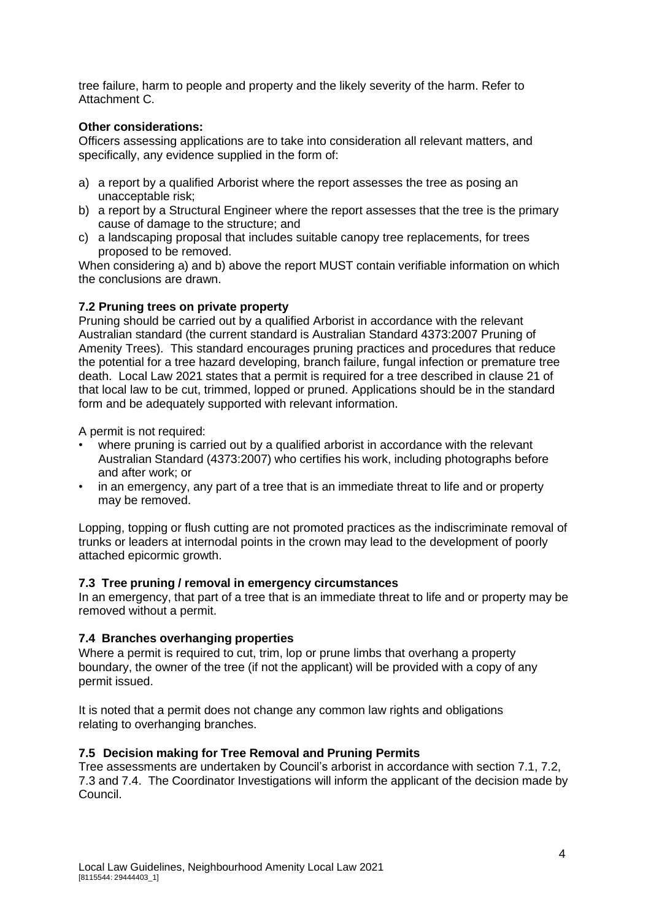tree failure, harm to people and property and the likely severity of the harm. Refer to Attachment C.

#### **Other considerations:**

Officers assessing applications are to take into consideration all relevant matters, and specifically, any evidence supplied in the form of:

- a) a report by a qualified Arborist where the report assesses the tree as posing an unacceptable risk;
- b) a report by a Structural Engineer where the report assesses that the tree is the primary cause of damage to the structure; and
- c) a landscaping proposal that includes suitable canopy tree replacements, for trees proposed to be removed.

When considering a) and b) above the report MUST contain verifiable information on which the conclusions are drawn.

#### **7.2 Pruning trees on private property**

Pruning should be carried out by a qualified Arborist in accordance with the relevant Australian standard (the current standard is Australian Standard 4373:2007 Pruning of Amenity Trees). This standard encourages pruning practices and procedures that reduce the potential for a tree hazard developing, branch failure, fungal infection or premature tree death. Local Law 2021 states that a permit is required for a tree described in clause 21 of that local law to be cut, trimmed, lopped or pruned. Applications should be in the standard form and be adequately supported with relevant information.

A permit is not required:

- where pruning is carried out by a qualified arborist in accordance with the relevant Australian Standard (4373:2007) who certifies his work, including photographs before and after work; or
- in an emergency, any part of a tree that is an immediate threat to life and or property may be removed.

Lopping, topping or flush cutting are not promoted practices as the indiscriminate removal of trunks or leaders at internodal points in the crown may lead to the development of poorly attached epicormic growth.

#### **7.3 Tree pruning / removal in emergency circumstances**

In an emergency, that part of a tree that is an immediate threat to life and or property may be removed without a permit.

## **7.4 Branches overhanging properties**

Where a permit is required to cut, trim, lop or prune limbs that overhang a property boundary, the owner of the tree (if not the applicant) will be provided with a copy of any permit issued.

It is noted that a permit does not change any common law rights and obligations relating to overhanging branches.

#### **7.5 Decision making for Tree Removal and Pruning Permits**

Tree assessments are undertaken by Council's arborist in accordance with section 7.1, 7.2, 7.3 and 7.4. The Coordinator Investigations will inform the applicant of the decision made by Council.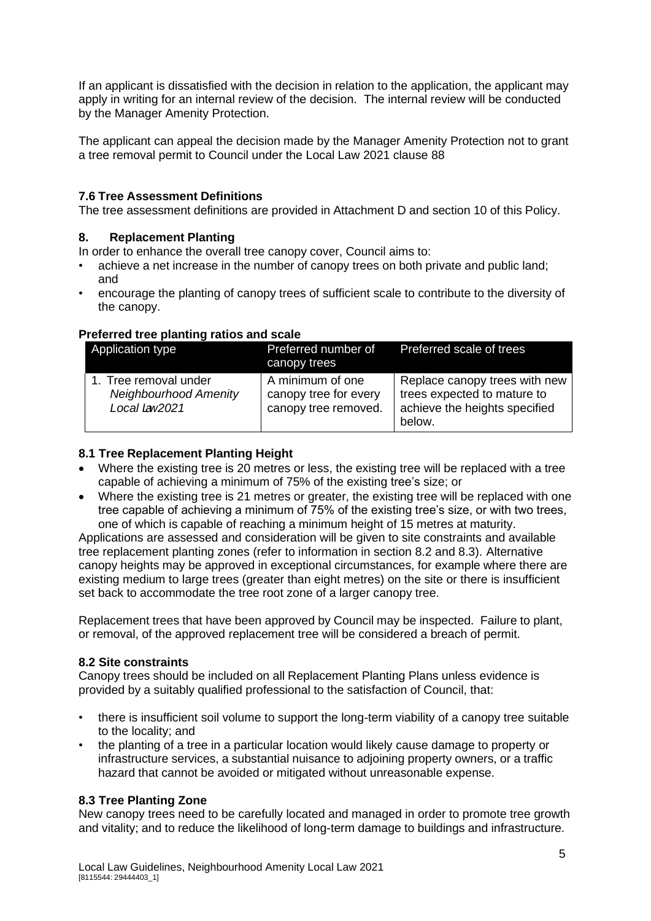If an applicant is dissatisfied with the decision in relation to the application, the applicant may apply in writing for an internal review of the decision. The internal review will be conducted by the Manager Amenity Protection.

The applicant can appeal the decision made by the Manager Amenity Protection not to grant a tree removal permit to Council under the Local Law 2021 clause 88

#### **7.6 Tree Assessment Definitions**

The tree assessment definitions are provided in Attachment D and section 10 of this Policy.

#### **8. Replacement Planting**

In order to enhance the overall tree canopy cover, Council aims to:

- achieve a net increase in the number of canopy trees on both private and public land; and
- encourage the planting of canopy trees of sufficient scale to contribute to the diversity of the canopy.

#### **Preferred tree planting ratios and scale**

| Application type                                                       | Preferred number of<br>canopy trees                               | Preferred scale of trees                                                                                |
|------------------------------------------------------------------------|-------------------------------------------------------------------|---------------------------------------------------------------------------------------------------------|
| 1. Tree removal under<br><b>Neighbourhood Amenity</b><br>Local Lav2021 | A minimum of one<br>canopy tree for every<br>canopy tree removed. | Replace canopy trees with new<br>trees expected to mature to<br>achieve the heights specified<br>below. |

#### **8.1 Tree Replacement Planting Height**

- Where the existing tree is 20 metres or less, the existing tree will be replaced with a tree capable of achieving a minimum of 75% of the existing tree's size; or
- Where the existing tree is 21 metres or greater, the existing tree will be replaced with one tree capable of achieving a minimum of 75% of the existing tree's size, or with two trees, one of which is capable of reaching a minimum height of 15 metres at maturity.

Applications are assessed and consideration will be given to site constraints and available tree replacement planting zones (refer to information in section 8.2 and 8.3). Alternative canopy heights may be approved in exceptional circumstances, for example where there are existing medium to large trees (greater than eight metres) on the site or there is insufficient set back to accommodate the tree root zone of a larger canopy tree.

Replacement trees that have been approved by Council may be inspected. Failure to plant, or removal, of the approved replacement tree will be considered a breach of permit.

#### **8.2 Site constraints**

Canopy trees should be included on all Replacement Planting Plans unless evidence is provided by a suitably qualified professional to the satisfaction of Council, that:

- there is insufficient soil volume to support the long-term viability of a canopy tree suitable to the locality; and
- the planting of a tree in a particular location would likely cause damage to property or infrastructure services, a substantial nuisance to adjoining property owners, or a traffic hazard that cannot be avoided or mitigated without unreasonable expense.

#### **8.3 Tree Planting Zone**

New canopy trees need to be carefully located and managed in order to promote tree growth and vitality; and to reduce the likelihood of long-term damage to buildings and infrastructure.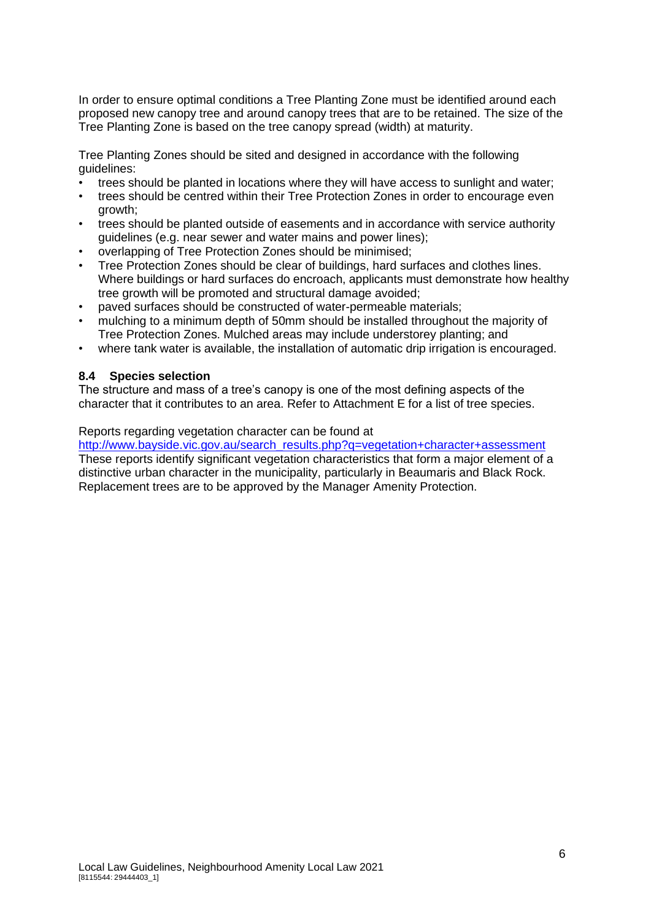In order to ensure optimal conditions a Tree Planting Zone must be identified around each proposed new canopy tree and around canopy trees that are to be retained. The size of the Tree Planting Zone is based on the tree canopy spread (width) at maturity.

Tree Planting Zones should be sited and designed in accordance with the following guidelines:

- trees should be planted in locations where they will have access to sunlight and water;
- trees should be centred within their Tree Protection Zones in order to encourage even growth;
- trees should be planted outside of easements and in accordance with service authority guidelines (e.g. near sewer and water mains and power lines);
- overlapping of Tree Protection Zones should be minimised;
- Tree Protection Zones should be clear of buildings, hard surfaces and clothes lines. Where buildings or hard surfaces do encroach, applicants must demonstrate how healthy tree growth will be promoted and structural damage avoided;
- paved surfaces should be constructed of water-permeable materials;
- mulching to a minimum depth of 50mm should be installed throughout the majority of Tree Protection Zones. Mulched areas may include understorey planting; and
- where tank water is available, the installation of automatic drip irrigation is encouraged.

#### **8.4 Species selection**

The structure and mass of a tree's canopy is one of the most defining aspects of the character that it contributes to an area. Refer to Attachment E for a list of tree species.

#### Reports regarding vegetation character can be found at

http://www.bayside.vic.gov.au/search\_results.php?g=vegetation+character+assessment These reports identify significant vegetation characteristics that form a major element of a distinctive urban character in the municipality, particularly in Beaumaris and Black Rock. Replacement trees are to be approved by the Manager Amenity Protection.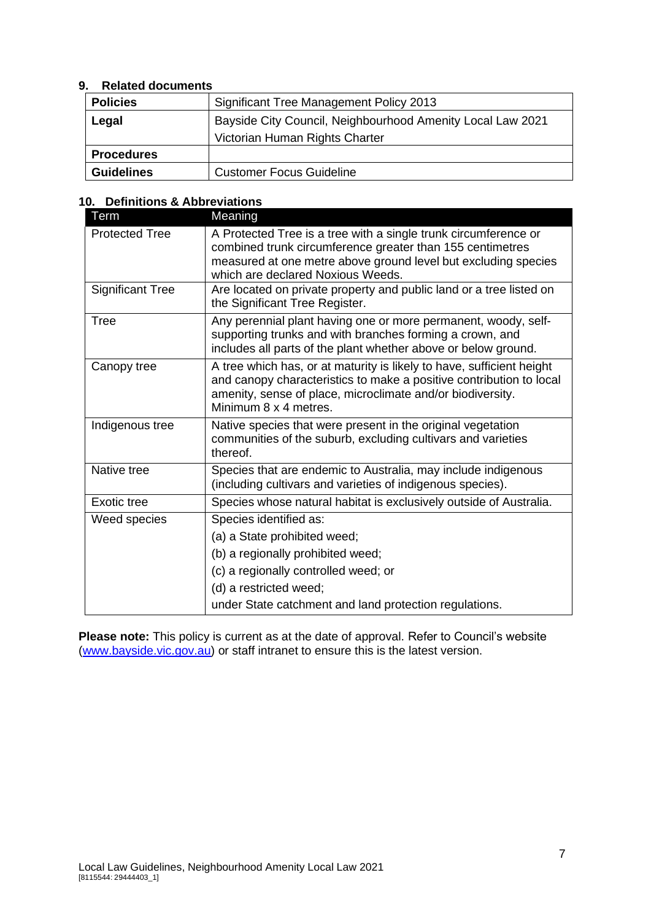#### **9. Related documents**

| <b>Policies</b>   | <b>Significant Tree Management Policy 2013</b>             |
|-------------------|------------------------------------------------------------|
| Legal             | Bayside City Council, Neighbourhood Amenity Local Law 2021 |
|                   | Victorian Human Rights Charter                             |
| <b>Procedures</b> |                                                            |
| <b>Guidelines</b> | <b>Customer Focus Guideline</b>                            |

#### **10. Definitions & Abbreviations**

| Term                    | Meaning                                                                                                                                                                                                                             |
|-------------------------|-------------------------------------------------------------------------------------------------------------------------------------------------------------------------------------------------------------------------------------|
| <b>Protected Tree</b>   | A Protected Tree is a tree with a single trunk circumference or<br>combined trunk circumference greater than 155 centimetres<br>measured at one metre above ground level but excluding species<br>which are declared Noxious Weeds. |
| <b>Significant Tree</b> | Are located on private property and public land or a tree listed on<br>the Significant Tree Register.                                                                                                                               |
| <b>Tree</b>             | Any perennial plant having one or more permanent, woody, self-<br>supporting trunks and with branches forming a crown, and<br>includes all parts of the plant whether above or below ground.                                        |
| Canopy tree             | A tree which has, or at maturity is likely to have, sufficient height<br>and canopy characteristics to make a positive contribution to local<br>amenity, sense of place, microclimate and/or biodiversity.<br>Minimum 8 x 4 metres. |
| Indigenous tree         | Native species that were present in the original vegetation<br>communities of the suburb, excluding cultivars and varieties<br>thereof.                                                                                             |
| Native tree             | Species that are endemic to Australia, may include indigenous<br>(including cultivars and varieties of indigenous species).                                                                                                         |
| Exotic tree             | Species whose natural habitat is exclusively outside of Australia.                                                                                                                                                                  |
| Weed species            | Species identified as:                                                                                                                                                                                                              |
|                         | (a) a State prohibited weed;                                                                                                                                                                                                        |
|                         | (b) a regionally prohibited weed;                                                                                                                                                                                                   |
|                         | (c) a regionally controlled weed; or                                                                                                                                                                                                |
|                         | (d) a restricted weed;                                                                                                                                                                                                              |
|                         | under State catchment and land protection regulations.                                                                                                                                                                              |

**Please note:** This policy is current as at the date of approval. Refer to Council's website [\(www.bayside.vic.gov.au\)](http://www.bayside.vic.gov.au/) or staff intranet to ensure this is the latest version.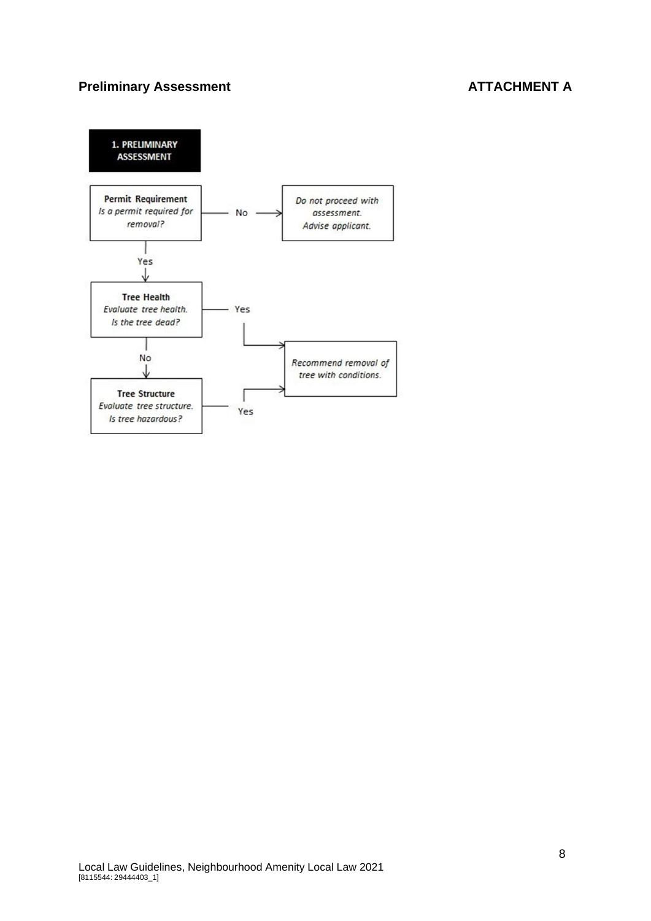## **Preliminary Assessment ATTACHMENT A**

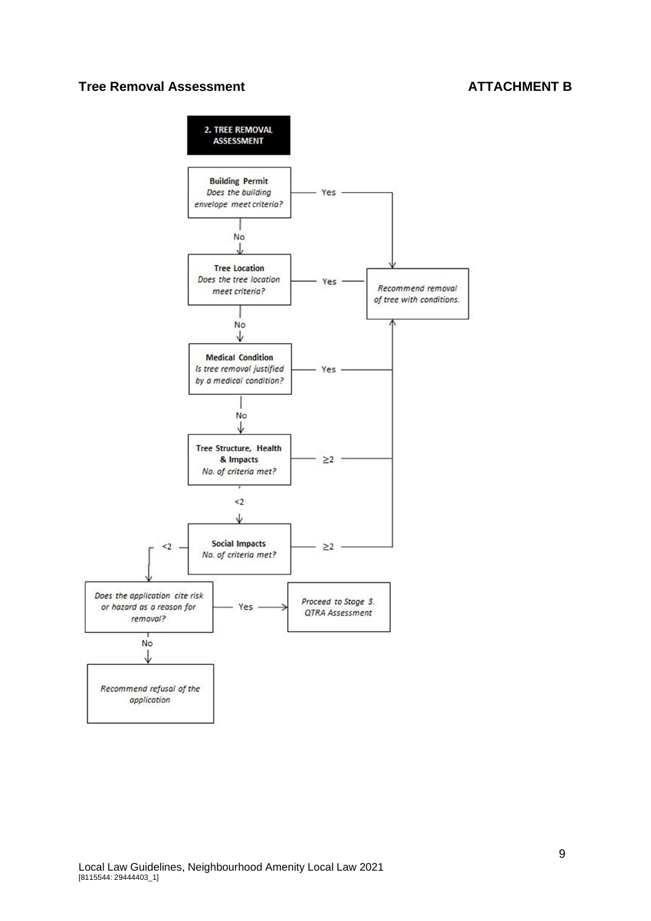#### **Tree Removal Assessment ATTACHMENT B**

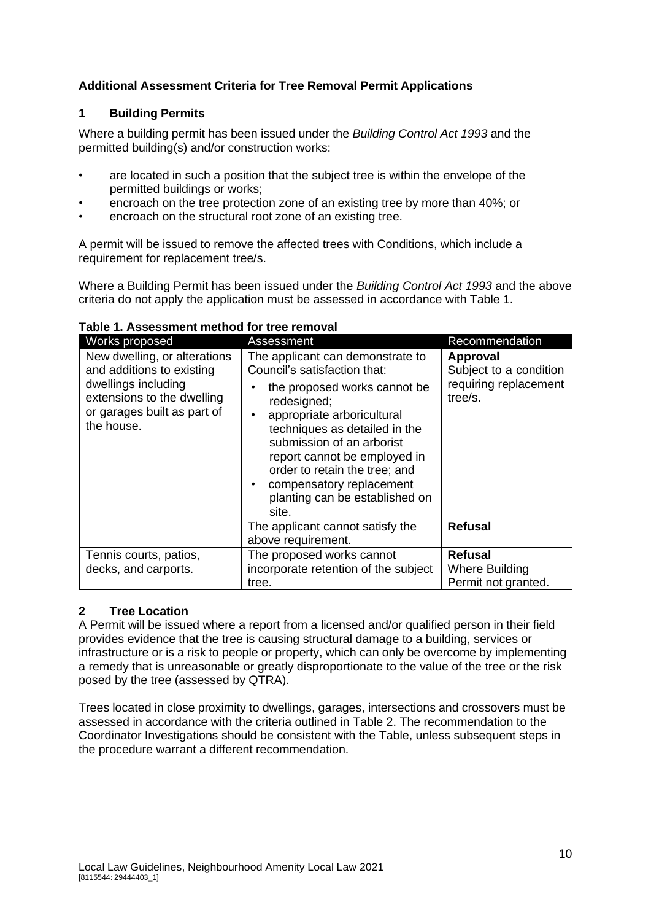## **Additional Assessment Criteria for Tree Removal Permit Applications**

## **1 Building Permits**

Where a building permit has been issued under the *Building Control Act 1993* and the permitted building(s) and/or construction works:

- are located in such a position that the subject tree is within the envelope of the permitted buildings or works;
- encroach on the tree protection zone of an existing tree by more than 40%; or
- encroach on the structural root zone of an existing tree.

A permit will be issued to remove the affected trees with Conditions, which include a requirement for replacement tree/s.

Where a Building Permit has been issued under the *Building Control Act 1993* and the above criteria do not apply the application must be assessed in accordance with Table 1.

| Works proposed                                                                                                                                              | Assessment                                                                                                                                                                                                                                                                                                                                                       | Recommendation                                                                |
|-------------------------------------------------------------------------------------------------------------------------------------------------------------|------------------------------------------------------------------------------------------------------------------------------------------------------------------------------------------------------------------------------------------------------------------------------------------------------------------------------------------------------------------|-------------------------------------------------------------------------------|
| New dwelling, or alterations<br>and additions to existing<br>dwellings including<br>extensions to the dwelling<br>or garages built as part of<br>the house. | The applicant can demonstrate to<br>Council's satisfaction that:<br>the proposed works cannot be<br>redesigned;<br>appropriate arboricultural<br>techniques as detailed in the<br>submission of an arborist<br>report cannot be employed in<br>order to retain the tree; and<br>compensatory replacement<br>$\bullet$<br>planting can be established on<br>site. | <b>Approval</b><br>Subject to a condition<br>requiring replacement<br>tree/s. |
|                                                                                                                                                             | The applicant cannot satisfy the<br>above requirement.                                                                                                                                                                                                                                                                                                           | <b>Refusal</b>                                                                |
| Tennis courts, patios,<br>decks, and carports.                                                                                                              | The proposed works cannot<br>incorporate retention of the subject<br>tree.                                                                                                                                                                                                                                                                                       | <b>Refusal</b><br>Where Building<br>Permit not granted.                       |

#### **Table 1. Assessment method for tree removal**

## **2 Tree Location**

A Permit will be issued where a report from a licensed and/or qualified person in their field provides evidence that the tree is causing structural damage to a building, services or infrastructure or is a risk to people or property, which can only be overcome by implementing a remedy that is unreasonable or greatly disproportionate to the value of the tree or the risk posed by the tree (assessed by QTRA).

Trees located in close proximity to dwellings, garages, intersections and crossovers must be assessed in accordance with the criteria outlined in Table 2. The recommendation to the Coordinator Investigations should be consistent with the Table, unless subsequent steps in the procedure warrant a different recommendation.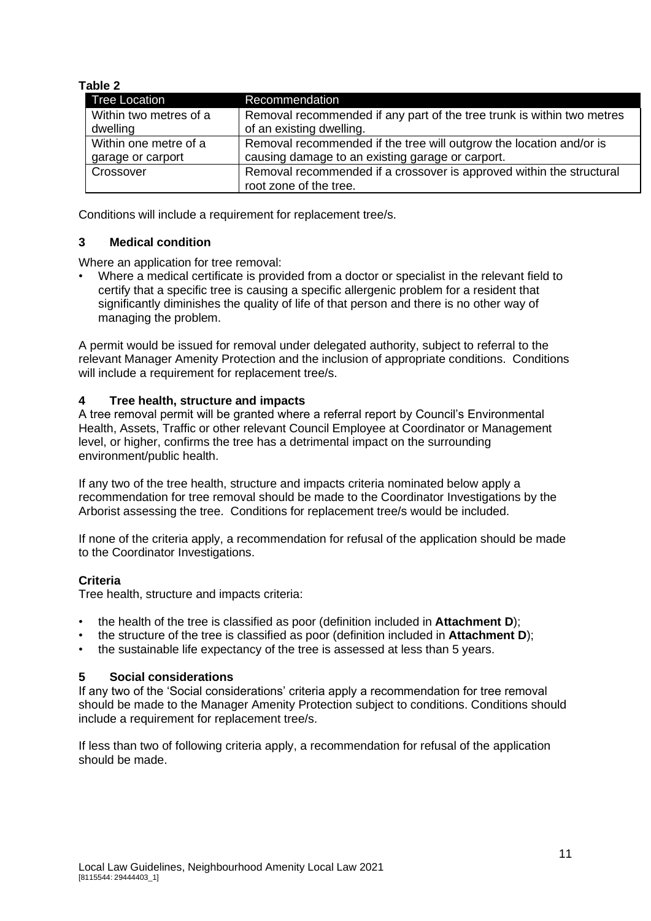#### **Table 2**

| Tree Location          | Recommendation                                                                                 |
|------------------------|------------------------------------------------------------------------------------------------|
| Within two metres of a | Removal recommended if any part of the tree trunk is within two metres                         |
| dwelling               | of an existing dwelling.                                                                       |
| Within one metre of a  | Removal recommended if the tree will outgrow the location and/or is                            |
| garage or carport      | causing damage to an existing garage or carport.                                               |
| Crossover              | Removal recommended if a crossover is approved within the structural<br>root zone of the tree. |

Conditions will include a requirement for replacement tree/s.

#### **3 Medical condition**

Where an application for tree removal:

• Where a medical certificate is provided from a doctor or specialist in the relevant field to certify that a specific tree is causing a specific allergenic problem for a resident that significantly diminishes the quality of life of that person and there is no other way of managing the problem.

A permit would be issued for removal under delegated authority, subject to referral to the relevant Manager Amenity Protection and the inclusion of appropriate conditions. Conditions will include a requirement for replacement tree/s.

#### **4 Tree health, structure and impacts**

A tree removal permit will be granted where a referral report by Council's Environmental Health, Assets, Traffic or other relevant Council Employee at Coordinator or Management level, or higher, confirms the tree has a detrimental impact on the surrounding environment/public health.

If any two of the tree health, structure and impacts criteria nominated below apply a recommendation for tree removal should be made to the Coordinator Investigations by the Arborist assessing the tree. Conditions for replacement tree/s would be included.

If none of the criteria apply, a recommendation for refusal of the application should be made to the Coordinator Investigations.

#### **Criteria**

Tree health, structure and impacts criteria:

- the health of the tree is classified as poor (definition included in **Attachment D**);
- the structure of the tree is classified as poor (definition included in **Attachment D**);
- the sustainable life expectancy of the tree is assessed at less than 5 years.

#### **5 Social considerations**

If any two of the 'Social considerations' criteria apply a recommendation for tree removal should be made to the Manager Amenity Protection subject to conditions. Conditions should include a requirement for replacement tree/s.

If less than two of following criteria apply, a recommendation for refusal of the application should be made.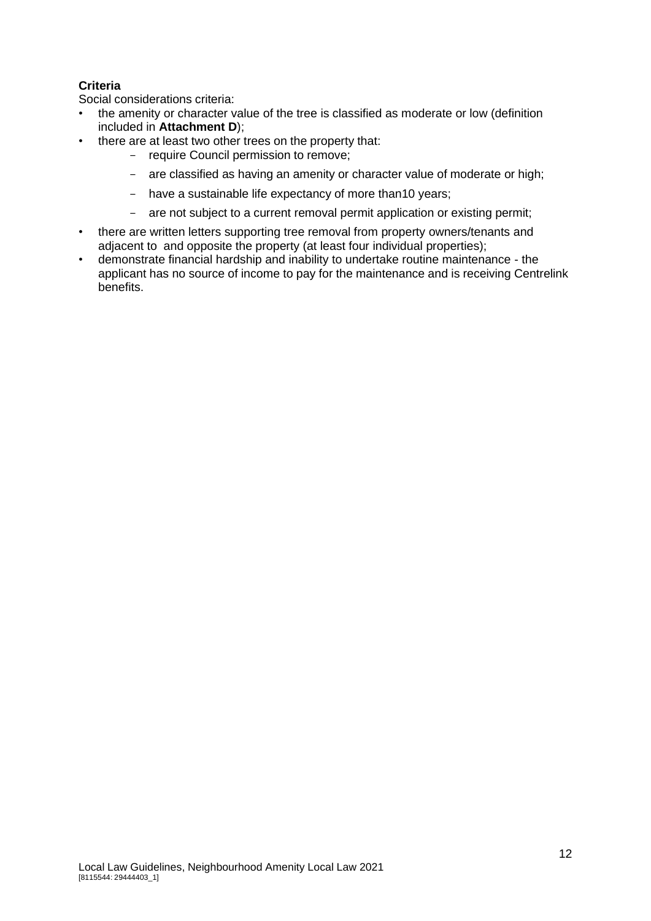## **Criteria**

Social considerations criteria:

- the amenity or character value of the tree is classified as moderate or low (definition included in **Attachment D**);
- there are at least two other trees on the property that:
	- require Council permission to remove;
	- are classified as having an amenity or character value of moderate or high;
	- have a sustainable life expectancy of more than10 years;
	- are not subject to a current removal permit application or existing permit;
- there are written letters supporting tree removal from property owners/tenants and adjacent to and opposite the property (at least four individual properties);
- demonstrate financial hardship and inability to undertake routine maintenance the applicant has no source of income to pay for the maintenance and is receiving Centrelink benefits.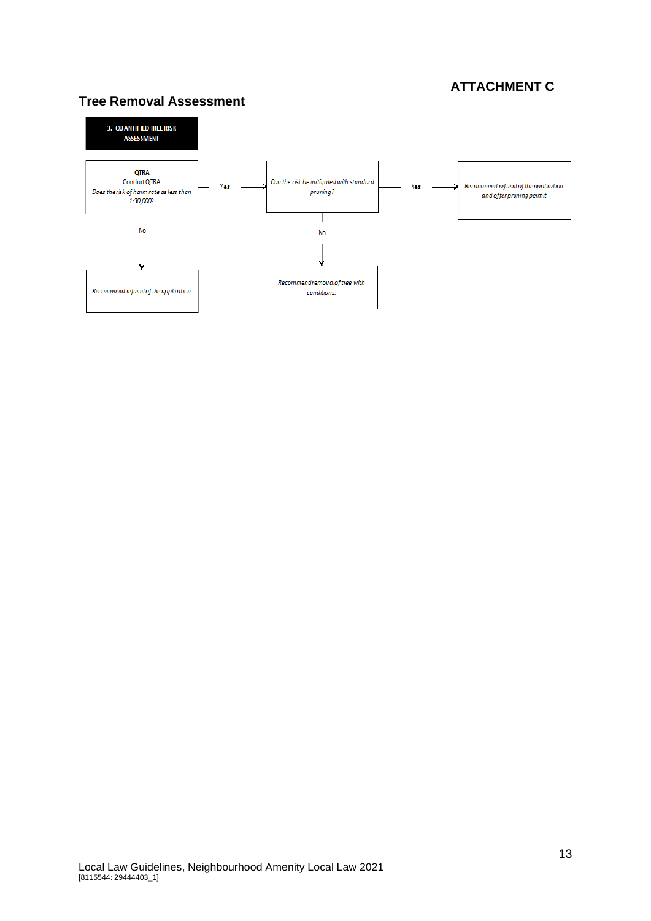# **ATTACHMENT C**

## **Tree Removal Assessment**

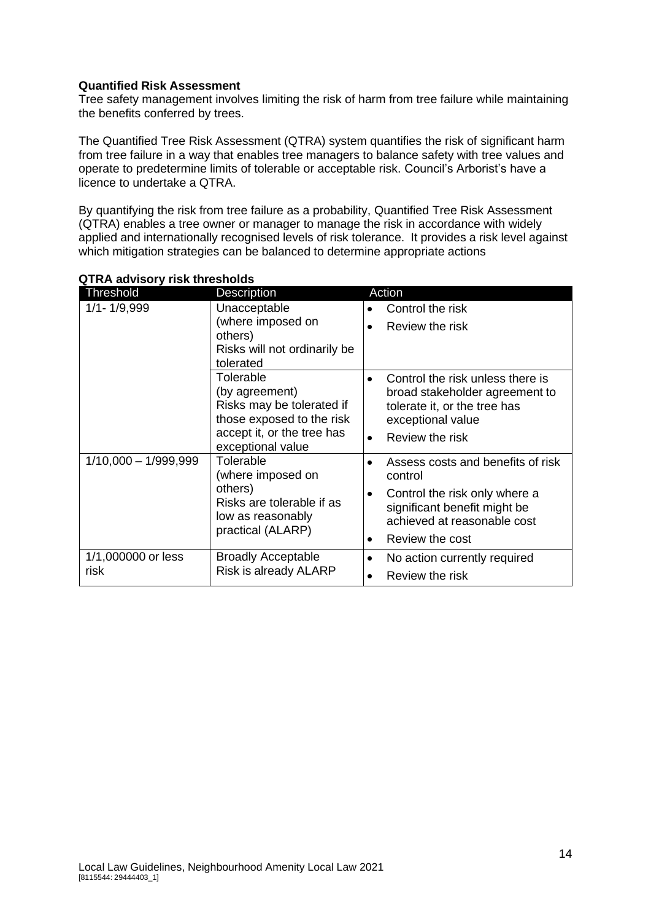#### **Quantified Risk Assessment**

Tree safety management involves limiting the risk of harm from tree failure while maintaining the benefits conferred by trees.

The Quantified Tree Risk Assessment (QTRA) system quantifies the risk of significant harm from tree failure in a way that enables tree managers to balance safety with tree values and operate to predetermine limits of tolerable or acceptable risk. Council's Arborist's have a licence to undertake a QTRA.

By quantifying the risk from tree failure as a probability, Quantified Tree Risk Assessment (QTRA) enables a tree owner or manager to manage the risk in accordance with widely applied and internationally recognised levels of risk tolerance. It provides a risk level against which mitigation strategies can be balanced to determine appropriate actions

| <b>Threshold</b>       | Description                                                                    | Action                                                                                            |
|------------------------|--------------------------------------------------------------------------------|---------------------------------------------------------------------------------------------------|
| $1/1 - 1/9,999$        | Unacceptable                                                                   | Control the risk                                                                                  |
|                        | (where imposed on                                                              | Review the risk<br>$\bullet$                                                                      |
|                        | others)                                                                        |                                                                                                   |
|                        | Risks will not ordinarily be                                                   |                                                                                                   |
|                        | tolerated                                                                      |                                                                                                   |
|                        | Tolerable                                                                      | Control the risk unless there is                                                                  |
|                        | (by agreement)                                                                 | broad stakeholder agreement to                                                                    |
|                        | Risks may be tolerated if                                                      | tolerate it, or the tree has                                                                      |
|                        | those exposed to the risk                                                      | exceptional value                                                                                 |
|                        | accept it, or the tree has<br>exceptional value                                | Review the risk<br>$\bullet$                                                                      |
| $1/10,000 - 1/999,999$ | Tolerable<br>(where imposed on                                                 | Assess costs and benefits of risk<br>control                                                      |
|                        | others)<br>Risks are tolerable if as<br>low as reasonably<br>practical (ALARP) | Control the risk only where a<br>٠<br>significant benefit might be<br>achieved at reasonable cost |
|                        |                                                                                | Review the cost<br>$\bullet$                                                                      |
| 1/1,000000 or less     | <b>Broadly Acceptable</b>                                                      | No action currently required                                                                      |
| risk                   | Risk is already ALARP                                                          | Review the risk                                                                                   |

#### **QTRA advisory risk thresholds**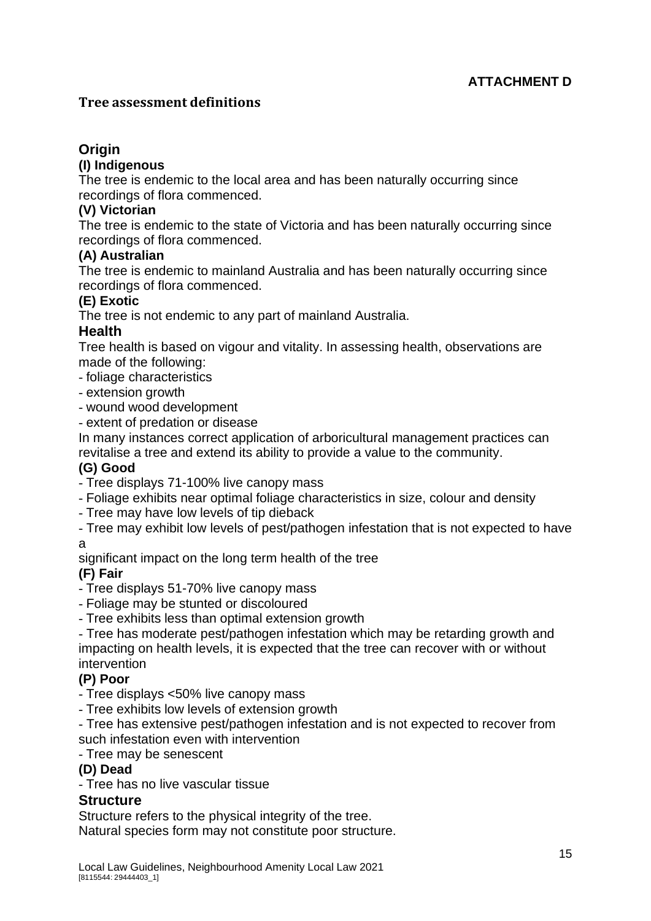## **Tree assessment definitions**

# **Origin**

## **(I) Indigenous**

The tree is endemic to the local area and has been naturally occurring since recordings of flora commenced.

## **(V) Victorian**

The tree is endemic to the state of Victoria and has been naturally occurring since recordings of flora commenced.

## **(A) Australian**

The tree is endemic to mainland Australia and has been naturally occurring since recordings of flora commenced.

## **(E) Exotic**

The tree is not endemic to any part of mainland Australia.

## **Health**

Tree health is based on vigour and vitality. In assessing health, observations are made of the following:

- foliage characteristics
- extension growth
- wound wood development
- extent of predation or disease

In many instances correct application of arboricultural management practices can revitalise a tree and extend its ability to provide a value to the community.

## **(G) Good**

- Tree displays 71-100% live canopy mass
- Foliage exhibits near optimal foliage characteristics in size, colour and density
- Tree may have low levels of tip dieback
- Tree may exhibit low levels of pest/pathogen infestation that is not expected to have a

significant impact on the long term health of the tree

## **(F) Fair**

- Tree displays 51-70% live canopy mass

- Foliage may be stunted or discoloured
- Tree exhibits less than optimal extension growth

- Tree has moderate pest/pathogen infestation which may be retarding growth and impacting on health levels, it is expected that the tree can recover with or without intervention

## **(P) Poor**

- Tree displays <50% live canopy mass
- Tree exhibits low levels of extension growth
- Tree has extensive pest/pathogen infestation and is not expected to recover from such infestation even with intervention

## - Tree may be senescent

## **(D) Dead**

- Tree has no live vascular tissue

## **Structure**

Structure refers to the physical integrity of the tree.

Natural species form may not constitute poor structure.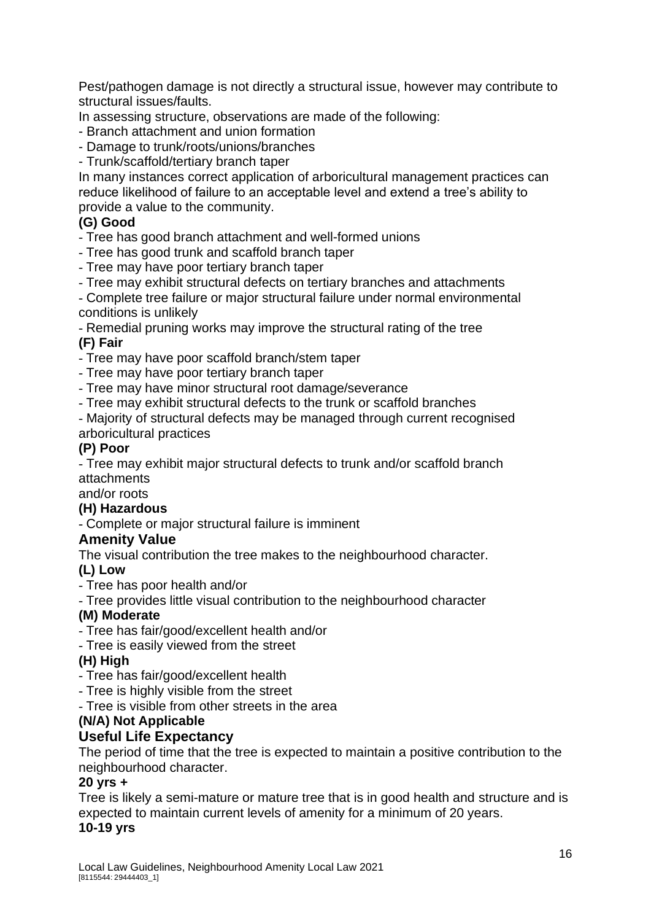Pest/pathogen damage is not directly a structural issue, however may contribute to structural issues/faults.

In assessing structure, observations are made of the following:

- Branch attachment and union formation
- Damage to trunk/roots/unions/branches

- Trunk/scaffold/tertiary branch taper

In many instances correct application of arboricultural management practices can reduce likelihood of failure to an acceptable level and extend a tree's ability to provide a value to the community.

## **(G) Good**

- Tree has good branch attachment and well-formed unions

- Tree has good trunk and scaffold branch taper

- Tree may have poor tertiary branch taper
- Tree may exhibit structural defects on tertiary branches and attachments

- Complete tree failure or major structural failure under normal environmental conditions is unlikely

- Remedial pruning works may improve the structural rating of the tree **(F) Fair**

- Tree may have poor scaffold branch/stem taper

- Tree may have poor tertiary branch taper

- Tree may have minor structural root damage/severance

- Tree may exhibit structural defects to the trunk or scaffold branches

- Majority of structural defects may be managed through current recognised arboricultural practices

## **(P) Poor**

- Tree may exhibit major structural defects to trunk and/or scaffold branch attachments

and/or roots

## **(H) Hazardous**

- Complete or major structural failure is imminent

## **Amenity Value**

The visual contribution the tree makes to the neighbourhood character.

## **(L) Low**

- Tree has poor health and/or

- Tree provides little visual contribution to the neighbourhood character

## **(M) Moderate**

- Tree has fair/good/excellent health and/or

- Tree is easily viewed from the street

## **(H) High**

- Tree has fair/good/excellent health

- Tree is highly visible from the street

- Tree is visible from other streets in the area

## **(N/A) Not Applicable**

## **Useful Life Expectancy**

The period of time that the tree is expected to maintain a positive contribution to the neighbourhood character.

## **20 yrs +**

Tree is likely a semi-mature or mature tree that is in good health and structure and is expected to maintain current levels of amenity for a minimum of 20 years.

## **10-19 yrs**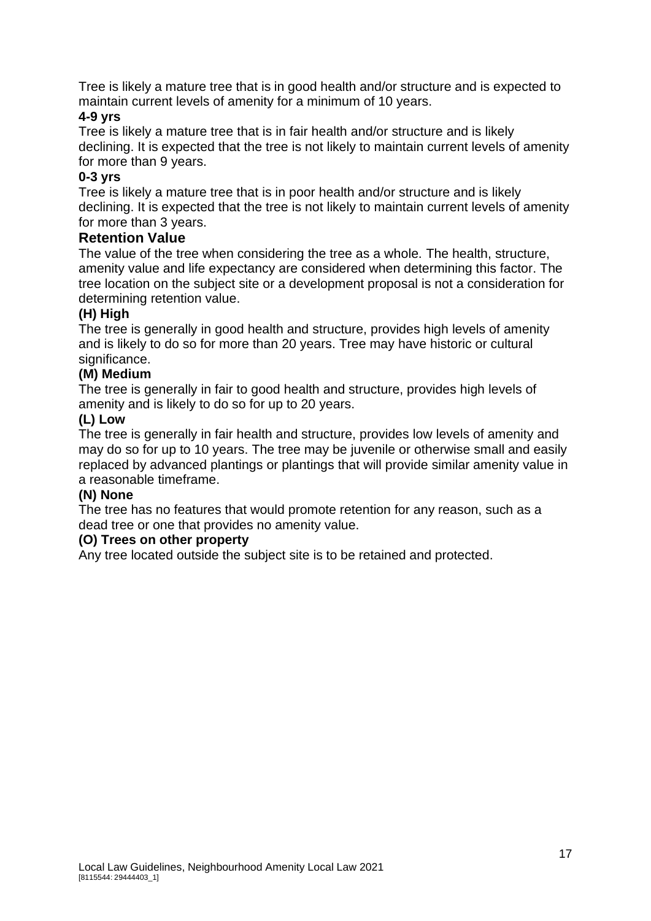Tree is likely a mature tree that is in good health and/or structure and is expected to maintain current levels of amenity for a minimum of 10 years.

## **4-9 yrs**

Tree is likely a mature tree that is in fair health and/or structure and is likely declining. It is expected that the tree is not likely to maintain current levels of amenity for more than 9 years.

## **0-3 yrs**

Tree is likely a mature tree that is in poor health and/or structure and is likely declining. It is expected that the tree is not likely to maintain current levels of amenity for more than 3 years.

## **Retention Value**

The value of the tree when considering the tree as a whole. The health, structure, amenity value and life expectancy are considered when determining this factor. The tree location on the subject site or a development proposal is not a consideration for determining retention value.

## **(H) High**

The tree is generally in good health and structure, provides high levels of amenity and is likely to do so for more than 20 years. Tree may have historic or cultural significance.

## **(M) Medium**

The tree is generally in fair to good health and structure, provides high levels of amenity and is likely to do so for up to 20 years.

## **(L) Low**

The tree is generally in fair health and structure, provides low levels of amenity and may do so for up to 10 years. The tree may be juvenile or otherwise small and easily replaced by advanced plantings or plantings that will provide similar amenity value in a reasonable timeframe.

## **(N) None**

The tree has no features that would promote retention for any reason, such as a dead tree or one that provides no amenity value.

## **(O) Trees on other property**

Any tree located outside the subject site is to be retained and protected.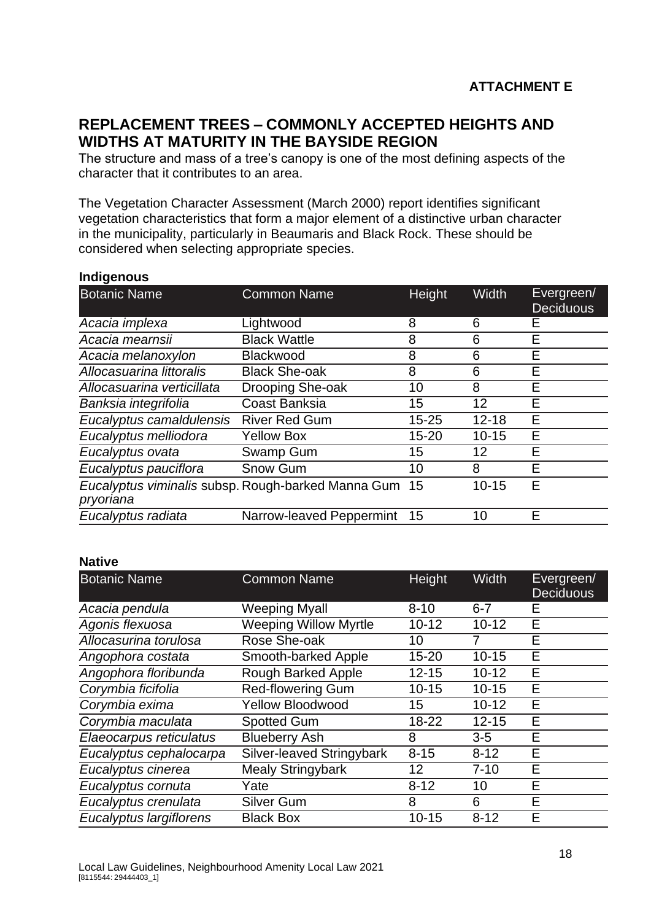# **REPLACEMENT TREES – COMMONLY ACCEPTED HEIGHTS AND WIDTHS AT MATURITY IN THE BAYSIDE REGION**

The structure and mass of a tree's canopy is one of the most defining aspects of the character that it contributes to an area.

The Vegetation Character Assessment (March 2000) report identifies significant vegetation characteristics that form a major element of a distinctive urban character in the municipality, particularly in Beaumaris and Black Rock. These should be considered when selecting appropriate species.

| <b>Botanic Name</b>        | <b>Common Name</b>                                 | Height    | <b>Width</b> | Evergreen/<br><b>Deciduous</b> |
|----------------------------|----------------------------------------------------|-----------|--------------|--------------------------------|
| Acacia implexa             | Lightwood                                          | 8         | 6            | Е                              |
| Acacia mearnsii            | <b>Black Wattle</b>                                | 8         | 6            | E                              |
| Acacia melanoxylon         | <b>Blackwood</b>                                   | 8         | 6            | E                              |
| Allocasuarina littoralis   | <b>Black She-oak</b>                               | 8         | 6            | E                              |
| Allocasuarina verticillata | Drooping She-oak                                   | 10        | 8            | Е                              |
| Banksia integrifolia       | Coast Banksia                                      | 15        | 12           | E                              |
| Eucalyptus camaldulensis   | <b>River Red Gum</b>                               | $15 - 25$ | $12 - 18$    | E                              |
| Eucalyptus melliodora      | <b>Yellow Box</b>                                  | $15 - 20$ | $10 - 15$    | E                              |
| Eucalyptus ovata           | Swamp Gum                                          | 15        | 12           | E                              |
| Eucalyptus pauciflora      | Snow Gum                                           | 10        | 8            | E                              |
| pryoriana                  | Eucalyptus viminalis subsp. Rough-barked Manna Gum | -15       | $10 - 15$    | E                              |
| Eucalyptus radiata         | Narrow-leaved Peppermint                           | 15        | 10           | E                              |
|                            |                                                    |           |              |                                |

#### **Indigenous**

#### **Native**

| <b>Botanic Name</b>     | <b>Common Name</b>           | Height    | Width     | Evergreen/<br><b>Deciduous</b> |
|-------------------------|------------------------------|-----------|-----------|--------------------------------|
| Acacia pendula          | <b>Weeping Myall</b>         | $8 - 10$  | $6 - 7$   | Е                              |
| Agonis flexuosa         | <b>Weeping Willow Myrtle</b> | $10 - 12$ | $10 - 12$ | E                              |
| Allocasurina torulosa   | Rose She-oak                 | 10        | 7         | Е                              |
| Angophora costata       | Smooth-barked Apple          | $15 - 20$ | $10 - 15$ | Е                              |
| Angophora floribunda    | <b>Rough Barked Apple</b>    | $12 - 15$ | $10 - 12$ | E                              |
| Corymbia ficifolia      | <b>Red-flowering Gum</b>     | $10 - 15$ | $10 - 15$ | Е                              |
| Corymbia exima          | <b>Yellow Bloodwood</b>      | 15        | $10 - 12$ | E                              |
| Corymbia maculata       | <b>Spotted Gum</b>           | 18-22     | $12 - 15$ | E                              |
| Elaeocarpus reticulatus | <b>Blueberry Ash</b>         | 8         | $3-5$     | E                              |
| Eucalyptus cephalocarpa | Silver-leaved Stringybark    | $8 - 15$  | $8 - 12$  | E                              |
| Eucalyptus cinerea      | <b>Mealy Stringybark</b>     | 12        | $7 - 10$  | E                              |
| Eucalyptus cornuta      | Yate                         | $8 - 12$  | 10        | E                              |
| Eucalyptus crenulata    | <b>Silver Gum</b>            | 8         | 6         | Е                              |
| Eucalyptus largiflorens | <b>Black Box</b>             | $10 - 15$ | $8 - 12$  | Е                              |